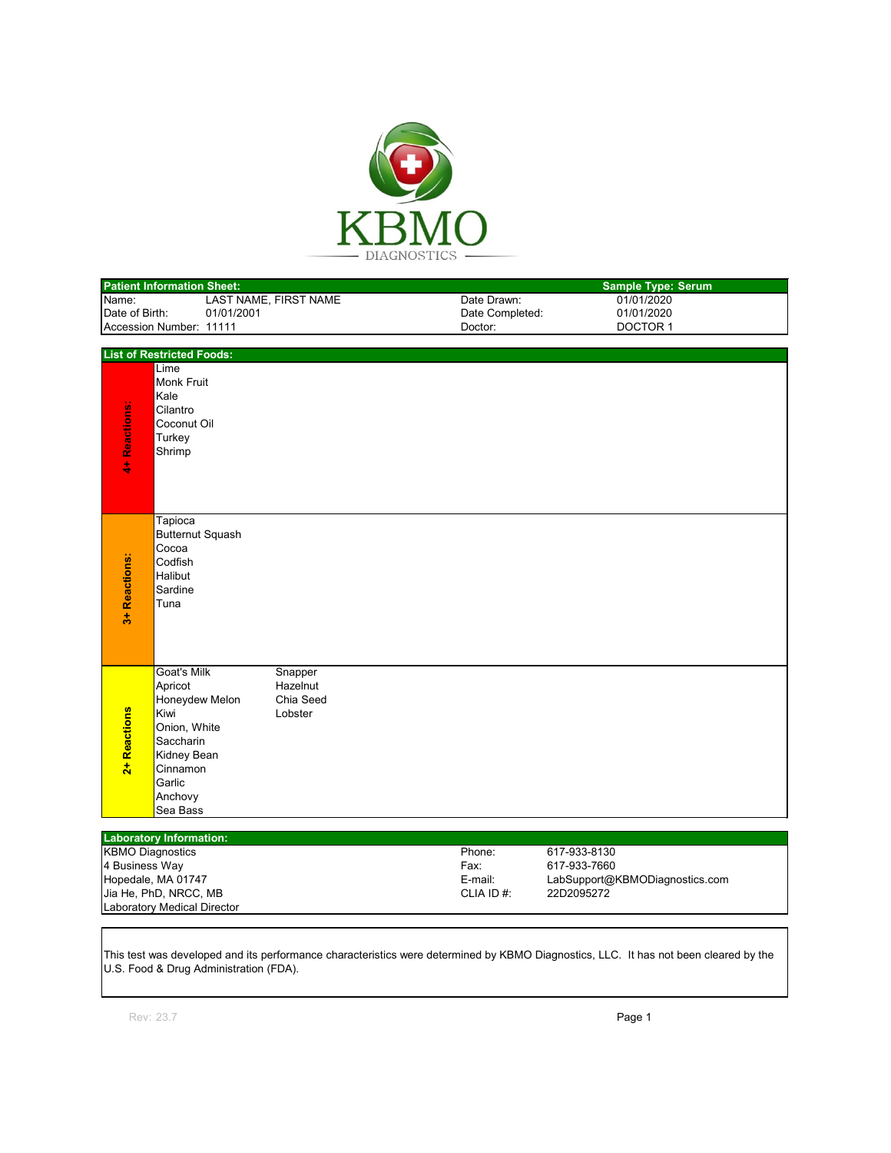

|                                             | <b>Patient Information Sheet:</b> |            |                       |                 | <b>Sample Type: Serum</b> |                                              |  |  |  |
|---------------------------------------------|-----------------------------------|------------|-----------------------|-----------------|---------------------------|----------------------------------------------|--|--|--|
| Name:                                       |                                   |            | LAST NAME, FIRST NAME |                 | Date Drawn:               | 01/01/2020                                   |  |  |  |
| Date of Birth:                              |                                   | 01/01/2001 |                       | Date Completed: | 01/01/2020                |                                              |  |  |  |
| Accession Number: 11111                     |                                   |            |                       |                 | Doctor:                   | <b>DOCTOR 1</b>                              |  |  |  |
|                                             |                                   |            |                       |                 |                           |                                              |  |  |  |
|                                             | <b>List of Restricted Foods:</b>  |            |                       |                 |                           |                                              |  |  |  |
|                                             | Lime<br><b>Monk Fruit</b>         |            |                       |                 |                           |                                              |  |  |  |
|                                             | Kale                              |            |                       |                 |                           |                                              |  |  |  |
|                                             | Cilantro                          |            |                       |                 |                           |                                              |  |  |  |
|                                             | Coconut Oil                       |            |                       |                 |                           |                                              |  |  |  |
| 4+ Reactions:                               | Turkey                            |            |                       |                 |                           |                                              |  |  |  |
|                                             | Shrimp                            |            |                       |                 |                           |                                              |  |  |  |
|                                             |                                   |            |                       |                 |                           |                                              |  |  |  |
|                                             |                                   |            |                       |                 |                           |                                              |  |  |  |
|                                             |                                   |            |                       |                 |                           |                                              |  |  |  |
|                                             | Tapioca                           |            |                       |                 |                           |                                              |  |  |  |
|                                             | <b>Butternut Squash</b><br>Cocoa  |            |                       |                 |                           |                                              |  |  |  |
|                                             | Codfish                           |            |                       |                 |                           |                                              |  |  |  |
|                                             | Halibut                           |            |                       |                 |                           |                                              |  |  |  |
| Reactions:                                  | Sardine                           |            |                       |                 |                           |                                              |  |  |  |
|                                             | Tuna                              |            |                       |                 |                           |                                              |  |  |  |
| $\frac{4}{5}$                               |                                   |            |                       |                 |                           |                                              |  |  |  |
|                                             |                                   |            |                       |                 |                           |                                              |  |  |  |
|                                             |                                   |            |                       |                 |                           |                                              |  |  |  |
|                                             | <b>Goat's Milk</b>                |            | Snapper               |                 |                           |                                              |  |  |  |
|                                             | Apricot                           |            | Hazelnut              |                 |                           |                                              |  |  |  |
|                                             | Honeydew Melon<br>Kiwi            |            | Chia Seed<br>Lobster  |                 |                           |                                              |  |  |  |
|                                             | Onion, White                      |            |                       |                 |                           |                                              |  |  |  |
|                                             | Saccharin                         |            |                       |                 |                           |                                              |  |  |  |
| 2+ Reactions                                | Kidney Bean                       |            |                       |                 |                           |                                              |  |  |  |
|                                             | Cinnamon                          |            |                       |                 |                           |                                              |  |  |  |
|                                             | Garlic                            |            |                       |                 |                           |                                              |  |  |  |
|                                             | Anchovy                           |            |                       |                 |                           |                                              |  |  |  |
|                                             | Sea Bass                          |            |                       |                 |                           |                                              |  |  |  |
|                                             | <b>Laboratory Information:</b>    |            |                       |                 |                           |                                              |  |  |  |
| <b>KBMO Diagnostics</b>                     |                                   |            |                       |                 | Phone:                    | 617-933-8130                                 |  |  |  |
| 4 Business Way                              |                                   |            |                       |                 | Fax:                      | 617-933-7660                                 |  |  |  |
| Hopedale, MA 01747<br>Jia He, PhD, NRCC, MB |                                   |            |                       |                 | E-mail:<br>CLIA ID#:      | LabSupport@KBMODiagnostics.com<br>22D2095272 |  |  |  |
|                                             |                                   |            |                       |                 |                           |                                              |  |  |  |

This test was developed and its performance characteristics were determined by KBMO Diagnostics, LLC. It has not been cleared by the U.S. Food & Drug Administration (FDA).

Jia He, PhD, NRCC, MB Laboratory Medical Director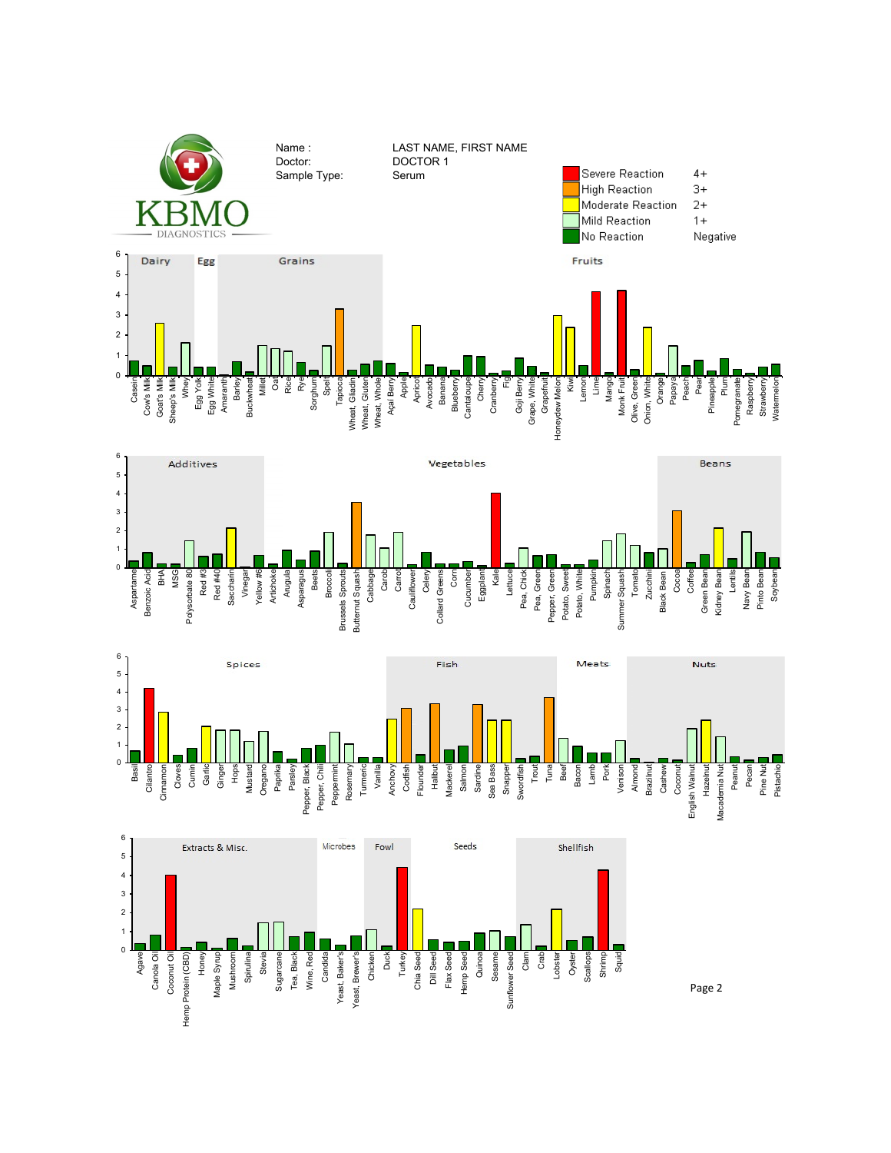